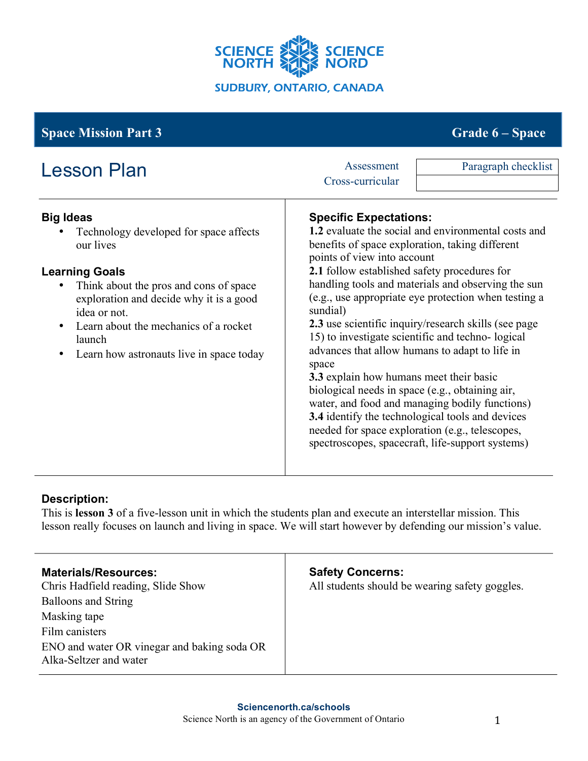

#### **Big Ideas** Technology developed for space affects our lives **Learning Goals** • Think about the pros and cons of space exploration and decide why it is a good idea or not. Learn about the mechanics of a rocket launch • Learn how astronauts live in space today **Specific Expectations: 1.2** evaluate the social and environmental costs and benefits of space exploration, taking different points of view into account **2.1** follow established safety procedures for handling tools and materials and observing the sun (e.g., use appropriate eye protection when testing a sundial) **2.3** use scientific inquiry/research skills (see page 15) to investigate scientific and techno- logical advances that allow humans to adapt to life in space **3.3** explain how humans meet their basic biological needs in space (e.g., obtaining air, water, and food and managing bodily functions) **3.4** identify the technological tools and devices needed for space exploration (e.g., telescopes, spectroscopes, spacecraft, life-support systems) **Space Mission Part 3** Grade **6** – **Space** Grade **6** – **Space** Lesson Plan Assessment Cross-curricular Paragraph checklist

# **Description:**

This is **lesson 3** of a five-lesson unit in which the students plan and execute an interstellar mission. This lesson really focuses on launch and living in space. We will start however by defending our mission's value.

| <b>Materials/Resources:</b>                                           | <b>Safety Concerns:</b>                        |
|-----------------------------------------------------------------------|------------------------------------------------|
| Chris Hadfield reading, Slide Show                                    | All students should be wearing safety goggles. |
| <b>Balloons and String</b>                                            |                                                |
| Masking tape                                                          |                                                |
| Film canisters                                                        |                                                |
| ENO and water OR vinegar and baking soda OR<br>Alka-Seltzer and water |                                                |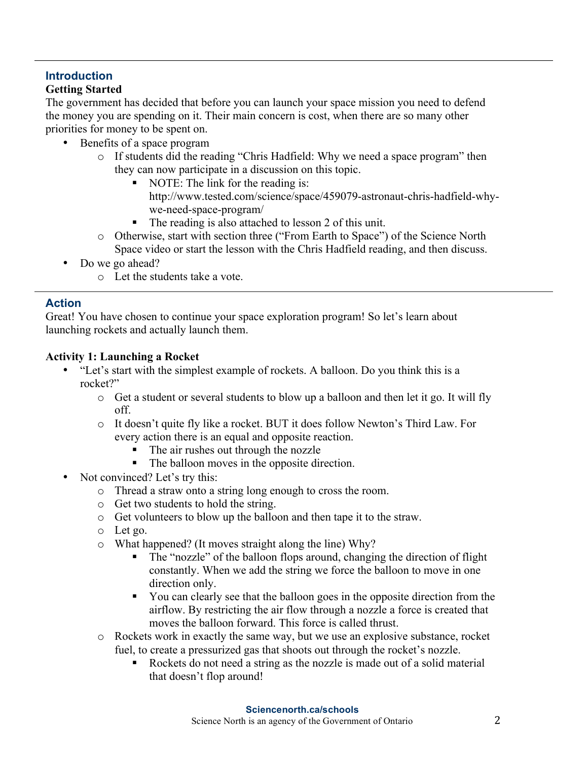# **Introduction**

# **Getting Started**

The government has decided that before you can launch your space mission you need to defend the money you are spending on it. Their main concern is cost, when there are so many other priorities for money to be spent on.

- Benefits of a space program
	- o If students did the reading "Chris Hadfield: Why we need a space program" then they can now participate in a discussion on this topic.
		- NOTE: The link for the reading is: http://www.tested.com/science/space/459079-astronaut-chris-hadfield-whywe-need-space-program/
		- The reading is also attached to lesson 2 of this unit.
	- o Otherwise, start with section three ("From Earth to Space") of the Science North Space video or start the lesson with the Chris Hadfield reading, and then discuss.
- Do we go ahead?
	- o Let the students take a vote.

# **Action**

Great! You have chosen to continue your space exploration program! So let's learn about launching rockets and actually launch them.

# **Activity 1: Launching a Rocket**

- "Let's start with the simplest example of rockets. A balloon. Do you think this is a rocket?"
	- $\circ$  Get a student or several students to blow up a balloon and then let it go. It will fly off.
	- o It doesn't quite fly like a rocket. BUT it does follow Newton's Third Law. For every action there is an equal and opposite reaction.
		- The air rushes out through the nozzle
		- The balloon moves in the opposite direction.
- Not convinced? Let's try this:
	- o Thread a straw onto a string long enough to cross the room.
	- o Get two students to hold the string.
	- o Get volunteers to blow up the balloon and then tape it to the straw.
	- o Let go.
	- o What happened? (It moves straight along the line) Why?
		- The "nozzle" of the balloon flops around, changing the direction of flight constantly. When we add the string we force the balloon to move in one direction only.
		- § You can clearly see that the balloon goes in the opposite direction from the airflow. By restricting the air flow through a nozzle a force is created that moves the balloon forward. This force is called thrust.
	- o Rockets work in exactly the same way, but we use an explosive substance, rocket fuel, to create a pressurized gas that shoots out through the rocket's nozzle.
		- Rockets do not need a string as the nozzle is made out of a solid material that doesn't flop around!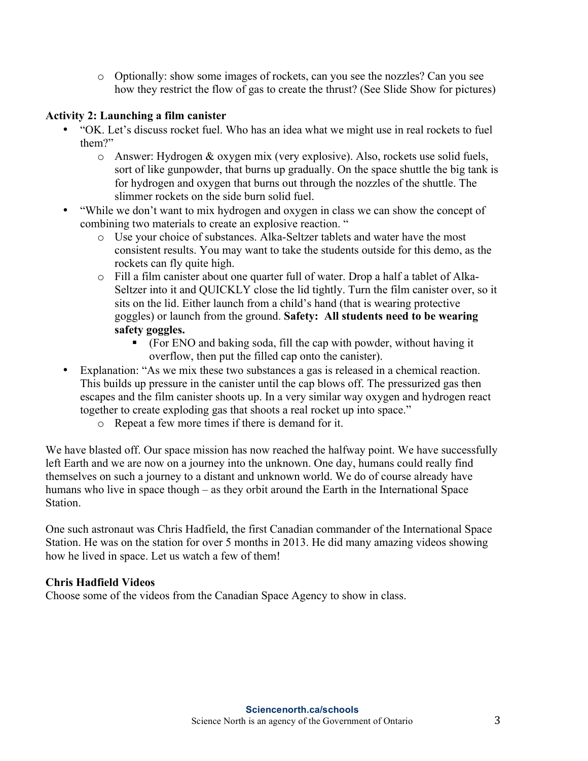o Optionally: show some images of rockets, can you see the nozzles? Can you see how they restrict the flow of gas to create the thrust? (See Slide Show for pictures)

#### **Activity 2: Launching a film canister**

- "OK. Let's discuss rocket fuel. Who has an idea what we might use in real rockets to fuel them?"
	- o Answer: Hydrogen & oxygen mix (very explosive). Also, rockets use solid fuels, sort of like gunpowder, that burns up gradually. On the space shuttle the big tank is for hydrogen and oxygen that burns out through the nozzles of the shuttle. The slimmer rockets on the side burn solid fuel.
- "While we don't want to mix hydrogen and oxygen in class we can show the concept of combining two materials to create an explosive reaction. "
	- o Use your choice of substances. Alka-Seltzer tablets and water have the most consistent results. You may want to take the students outside for this demo, as the rockets can fly quite high.
	- o Fill a film canister about one quarter full of water. Drop a half a tablet of Alka-Seltzer into it and QUICKLY close the lid tightly. Turn the film canister over, so it sits on the lid. Either launch from a child's hand (that is wearing protective goggles) or launch from the ground. **Safety: All students need to be wearing safety goggles.**
		- § (For ENO and baking soda, fill the cap with powder, without having it overflow, then put the filled cap onto the canister).
- Explanation: "As we mix these two substances a gas is released in a chemical reaction. This builds up pressure in the canister until the cap blows off. The pressurized gas then escapes and the film canister shoots up. In a very similar way oxygen and hydrogen react together to create exploding gas that shoots a real rocket up into space."
	- o Repeat a few more times if there is demand for it.

We have blasted off. Our space mission has now reached the halfway point. We have successfully left Earth and we are now on a journey into the unknown. One day, humans could really find themselves on such a journey to a distant and unknown world. We do of course already have humans who live in space though – as they orbit around the Earth in the International Space **Station** 

One such astronaut was Chris Hadfield, the first Canadian commander of the International Space Station. He was on the station for over 5 months in 2013. He did many amazing videos showing how he lived in space. Let us watch a few of them!

#### **Chris Hadfield Videos**

Choose some of the videos from the Canadian Space Agency to show in class.